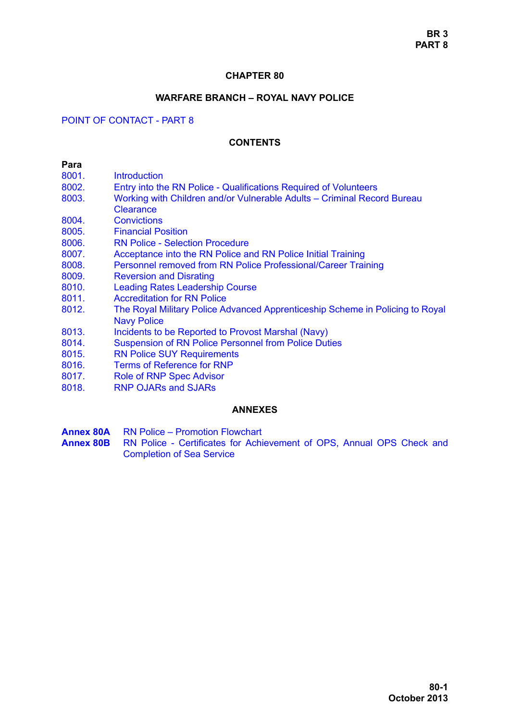## **CHAPTER 80**

# **WARFARE BRANCH – ROYAL NAVY POLICE**

# POINT OF CONTACT - PART 8

# **CONTENTS**

#### **Para**

- 8001 Introduction
- [8002. Entry into the RN Police Qualifications Required of Volunteers](#page-1-1)
- [8003. Working with Children and/or Vulnerable Adults Criminal Record Bureau](#page-2-0)  **Clearance**
- [8004. Convictions](#page-3-0)
- [8005. Financial Position](#page-5-0)
- [8006. RN Police Selection Procedure](#page-5-1)
- [8007. Acceptance into the RN Police and RN Police Initial Training](#page-7-0)
- [8008. Personnel removed from RN Police Professional/Career Training](#page-7-1)
- [8009. Reversion and Disrating](#page-8-0)
- [8010. Leading Rates Leadership Course](#page-8-1)
- [8011. Accreditation for RN Police](#page-8-2)
- [8012. The Royal Military Police Advanced Apprenticeship Scheme in Policing to Royal](#page-9-0)  Navy Police
- [8013. Incidents to be Reported to Provost Marshal \(Navy\)](#page-10-0)
- [8014. Suspension of RN Police Personnel from Police Duties](#page-10-1)
- [8015. RN Police SUY Requirements](#page-11-0)
- [8016. Terms of Reference for RNP](#page-11-1)
- [8017. Role of RNP Spec Advisor](#page-11-2)
- [8018. RNP OJARs and SJARs](#page-12-0)

## **ANNEXES**

- **Annex 80A** RN Police Promotion Flowchart
- **Annex 80B** RN Police Certificates for Achievement of OPS, Annual OPS Check and Completion of Sea Service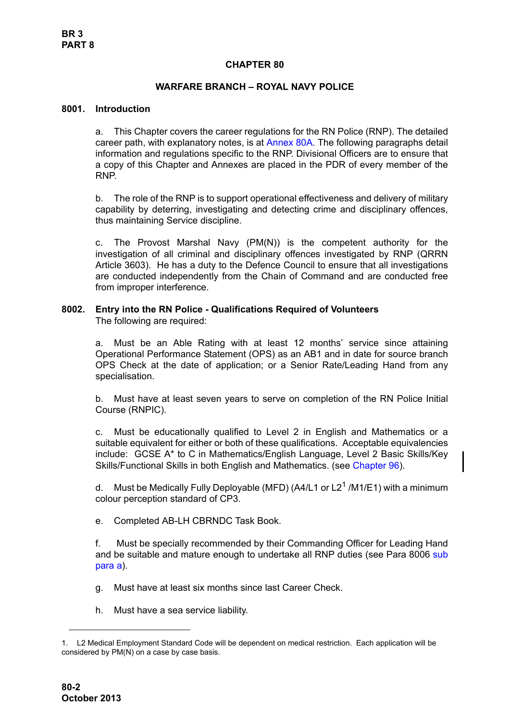# **CHAPTER 80**

# **WARFARE BRANCH – ROYAL NAVY POLICE**

## <span id="page-1-0"></span>**8001. Introduction**

a. This Chapter covers the career regulations for the RN Police (RNP). The detailed career path, with explanatory notes, is at Annex 80A. The following paragraphs detail information and regulations specific to the RNP. Divisional Officers are to ensure that a copy of this Chapter and Annexes are placed in the PDR of every member of the RNP.

b. The role of the RNP is to support operational effectiveness and delivery of military capability by deterring, investigating and detecting crime and disciplinary offences, thus maintaining Service discipline.

c. The Provost Marshal Navy  $(PM(N))$  is the competent authority for the investigation of all criminal and disciplinary offences investigated by RNP (QRRN Article 3603). He has a duty to the Defence Council to ensure that all investigations are conducted independently from the Chain of Command and are conducted free from improper interference.

# <span id="page-1-1"></span>**8002. Entry into the RN Police - Qualifications Required of Volunteers**

The following are required:

a. Must be an Able Rating with at least 12 months' service since attaining Operational Performance Statement (OPS) as an AB1 and in date for source branch OPS Check at the date of application; or a Senior Rate/Leading Hand from any specialisation.

b. Must have at least seven years to serve on completion of the RN Police Initial Course (RNPIC).

c. Must be educationally qualified to Level 2 in English and Mathematics or a suitable equivalent for either or both of these qualifications. Acceptable equivalencies include: GCSE A\* to C in Mathematics/English Language, Level 2 Basic Skills/Key Skills/Functional Skills in both English and Mathematics. (see Chapter 96).

d. Must be Medically Fully Deployable (MFD) (A4/L1 or L2<sup>1</sup> /M1/E1) with a minimum colour perception standard of CP3.

e. Completed AB-LH CBRNDC Task Book.

f. Must be specially recommended by their Commanding Officer for Leading Hand and be suitable and mature enough to undertake all RNP duties (see [Para 8006](#page-5-1) [sub](#page-5-2) [para a\)](#page-5-2).

g. Must have at least six months since last Career Check.

h. Must have a sea service liability.

<sup>1.</sup> L2 Medical Employment Standard Code will be dependent on medical restriction. Each application will be considered by PM(N) on a case by case basis.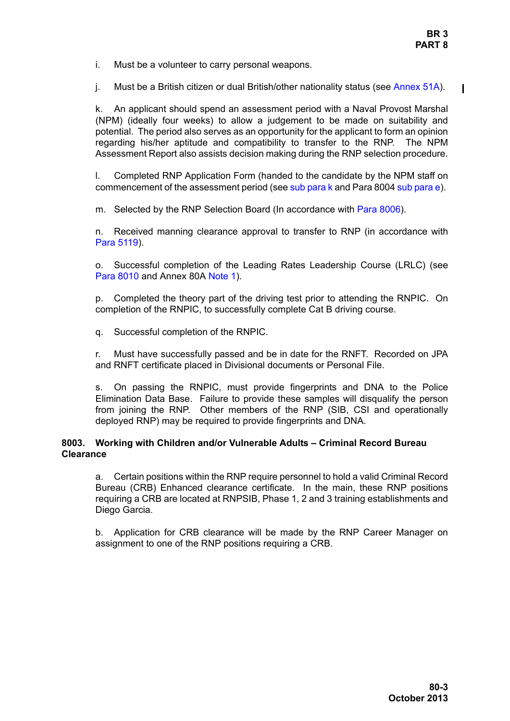- i. Must be a volunteer to carry personal weapons.
- j. Must be a British citizen or dual British/other nationality status (see Annex 51A).

<span id="page-2-1"></span>k. An applicant should spend an assessment period with a Naval Provost Marshal (NPM) (ideally four weeks) to allow a judgement to be made on suitability and potential. The period also serves as an opportunity for the applicant to form an opinion regarding his/her aptitude and compatibility to transfer to the RNP. The NPM Assessment Report also assists decision making during the RNP selection procedure.

<span id="page-2-2"></span>l. Completed RNP Application Form (handed to the candidate by the NPM staff on commencement of the assessment period (see [sub para k](#page-2-1) and [Para 8004](#page-3-0) [sub para e](#page-3-1)).

m. Selected by the RNP Selection Board (In accordance with [Para 8006\)](#page-5-1).

n. Received manning clearance approval to transfer to RNP (in accordance with Para 5119).

o. Successful completion of the Leading Rates Leadership Course (LRLC) (see [Para 8010](#page-8-1) and Annex 80A Note 1).

p. Completed the theory part of the driving test prior to attending the RNPIC. On completion of the RNPIC, to successfully complete Cat B driving course.

q. Successful completion of the RNPIC.

r. Must have successfully passed and be in date for the RNFT. Recorded on JPA and RNFT certificate placed in Divisional documents or Personal File.

s. On passing the RNPIC, must provide fingerprints and DNA to the Police Elimination Data Base. Failure to provide these samples will disqualify the person from joining the RNP. Other members of the RNP (SIB, CSI and operationally deployed RNP) may be required to provide fingerprints and DNA.

# <span id="page-2-0"></span>**8003. Working with Children and/or Vulnerable Adults – Criminal Record Bureau Clearance**

a. Certain positions within the RNP require personnel to hold a valid Criminal Record Bureau (CRB) Enhanced clearance certificate. In the main, these RNP positions requiring a CRB are located at RNPSIB, Phase 1, 2 and 3 training establishments and Diego Garcia.

b. Application for CRB clearance will be made by the RNP Career Manager on assignment to one of the RNP positions requiring a CRB.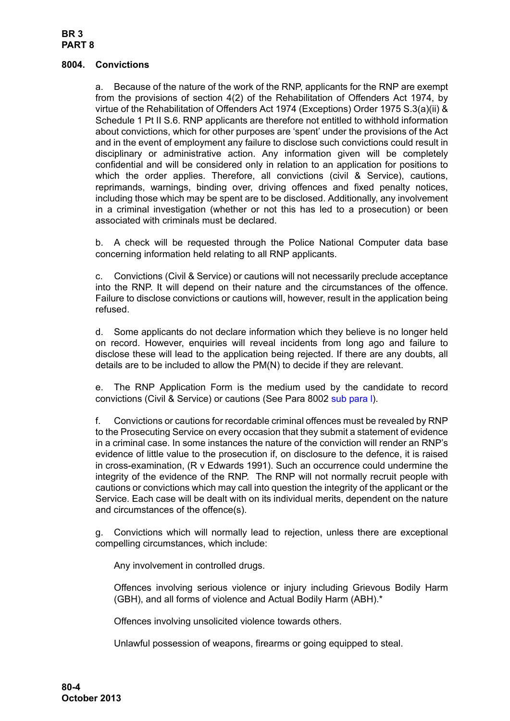# **BR 3 PART 8**

## <span id="page-3-0"></span>**8004. Convictions**

a. Because of the nature of the work of the RNP, applicants for the RNP are exempt from the provisions of section 4(2) of the Rehabilitation of Offenders Act 1974, by virtue of the Rehabilitation of Offenders Act 1974 (Exceptions) Order 1975 S.3(a)(ii) & Schedule 1 Pt II S.6. RNP applicants are therefore not entitled to withhold information about convictions, which for other purposes are 'spent' under the provisions of the Act and in the event of employment any failure to disclose such convictions could result in disciplinary or administrative action. Any information given will be completely confidential and will be considered only in relation to an application for positions to which the order applies. Therefore, all convictions (civil & Service), cautions, reprimands, warnings, binding over, driving offences and fixed penalty notices, including those which may be spent are to be disclosed. Additionally, any involvement in a criminal investigation (whether or not this has led to a prosecution) or been associated with criminals must be declared.

b. A check will be requested through the Police National Computer data base concerning information held relating to all RNP applicants.

c. Convictions (Civil & Service) or cautions will not necessarily preclude acceptance into the RNP. It will depend on their nature and the circumstances of the offence. Failure to disclose convictions or cautions will, however, result in the application being refused.

d. Some applicants do not declare information which they believe is no longer held on record. However, enquiries will reveal incidents from long ago and failure to disclose these will lead to the application being rejected. If there are any doubts, all details are to be included to allow the PM(N) to decide if they are relevant.

<span id="page-3-1"></span>e. The RNP Application Form is the medium used by the candidate to record convictions (Civil & Service) or cautions (See [Para 8002](#page-1-1) [sub para l](#page-2-2)).

f. Convictions or cautions for recordable criminal offences must be revealed by RNP to the Prosecuting Service on every occasion that they submit a statement of evidence in a criminal case. In some instances the nature of the conviction will render an RNP's evidence of little value to the prosecution if, on disclosure to the defence, it is raised in cross-examination, (R v Edwards 1991). Such an occurrence could undermine the integrity of the evidence of the RNP. The RNP will not normally recruit people with cautions or convictions which may call into question the integrity of the applicant or the Service. Each case will be dealt with on its individual merits, dependent on the nature and circumstances of the offence(s).

g. Convictions which will normally lead to rejection, unless there are exceptional compelling circumstances, which include:

Any involvement in controlled drugs.

Offences involving serious violence or injury including Grievous Bodily Harm (GBH), and all forms of violence and Actual Bodily Harm (ABH).\*

Offences involving unsolicited violence towards others.

Unlawful possession of weapons, firearms or going equipped to steal.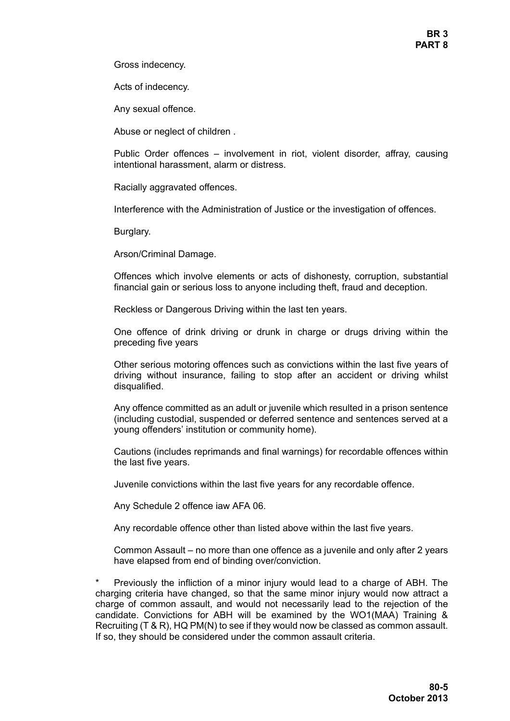**BR 3 PART 8**

Gross indecency.

Acts of indecency.

Any sexual offence.

Abuse or neglect of children .

Public Order offences – involvement in riot, violent disorder, affray, causing intentional harassment, alarm or distress.

Racially aggravated offences.

Interference with the Administration of Justice or the investigation of offences.

Burglary.

Arson/Criminal Damage.

Offences which involve elements or acts of dishonesty, corruption, substantial financial gain or serious loss to anyone including theft, fraud and deception.

Reckless or Dangerous Driving within the last ten years.

One offence of drink driving or drunk in charge or drugs driving within the preceding five years

Other serious motoring offences such as convictions within the last five years of driving without insurance, failing to stop after an accident or driving whilst disqualified.

Any offence committed as an adult or juvenile which resulted in a prison sentence (including custodial, suspended or deferred sentence and sentences served at a young offenders' institution or community home).

Cautions (includes reprimands and final warnings) for recordable offences within the last five years.

Juvenile convictions within the last five years for any recordable offence.

Any Schedule 2 offence iaw AFA 06.

Any recordable offence other than listed above within the last five years.

Common Assault – no more than one offence as a juvenile and only after 2 years have elapsed from end of binding over/conviction.

Previously the infliction of a minor injury would lead to a charge of ABH. The charging criteria have changed, so that the same minor injury would now attract a charge of common assault, and would not necessarily lead to the rejection of the candidate. Convictions for ABH will be examined by the WO1(MAA) Training & Recruiting (T & R), HQ PM(N) to see if they would now be classed as common assault. If so, they should be considered under the common assault criteria.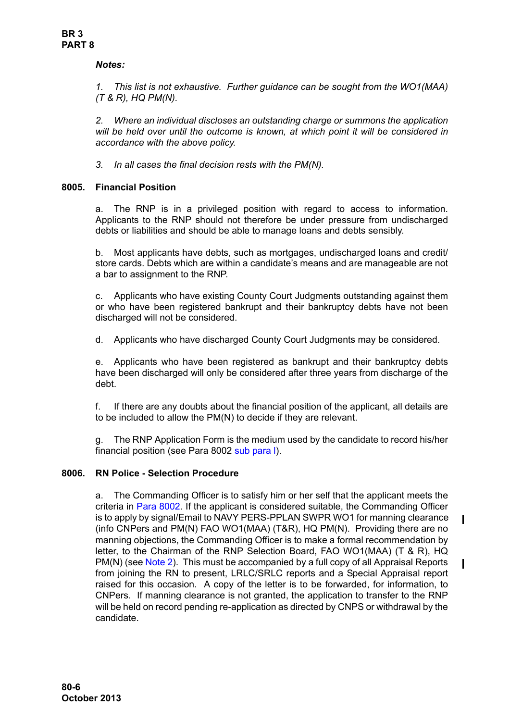# *Notes:*

*1. This list is not exhaustive. Further guidance can be sought from the WO1(MAA) (T & R), HQ PM(N).*

*2. Where an individual discloses an outstanding charge or summons the application will be held over until the outcome is known, at which point it will be considered in accordance with the above policy.*

*3. In all cases the final decision rests with the PM(N).*

# <span id="page-5-0"></span>**8005. Financial Position**

a. The RNP is in a privileged position with regard to access to information. Applicants to the RNP should not therefore be under pressure from undischarged debts or liabilities and should be able to manage loans and debts sensibly.

b. Most applicants have debts, such as mortgages, undischarged loans and credit/ store cards. Debts which are within a candidate's means and are manageable are not a bar to assignment to the RNP.

c. Applicants who have existing County Court Judgments outstanding against them or who have been registered bankrupt and their bankruptcy debts have not been discharged will not be considered.

d. Applicants who have discharged County Court Judgments may be considered.

e. Applicants who have been registered as bankrupt and their bankruptcy debts have been discharged will only be considered after three years from discharge of the debt.

f. If there are any doubts about the financial position of the applicant, all details are to be included to allow the PM(N) to decide if they are relevant.

g. The RNP Application Form is the medium used by the candidate to record his/her financial position (see [Para 8002](#page-1-1) [sub para l](#page-2-2)).

# <span id="page-5-2"></span><span id="page-5-1"></span>**8006. RN Police - Selection Procedure**

a. The Commanding Officer is to satisfy him or her self that the applicant meets the criteria in [Para 8002](#page-1-1). If the applicant is considered suitable, the Commanding Officer is to apply by signal/Email to NAVY PERS-PPLAN SWPR WO1 for manning clearance (info CNPers and PM(N) FAO WO1(MAA) (T&R), HQ PM(N). Providing there are no manning objections, the Commanding Officer is to make a formal recommendation by letter, to the Chairman of the RNP Selection Board, FAO WO1(MAA) (T & R), HQ PM(N) (see [Note 2\)](#page-6-0). This must be accompanied by a full copy of all Appraisal Reports from joining the RN to present, LRLC/SRLC reports and a Special Appraisal report raised for this occasion. A copy of the letter is to be forwarded, for information, to CNPers. If manning clearance is not granted, the application to transfer to the RNP will be held on record pending re-application as directed by CNPS or withdrawal by the candidate.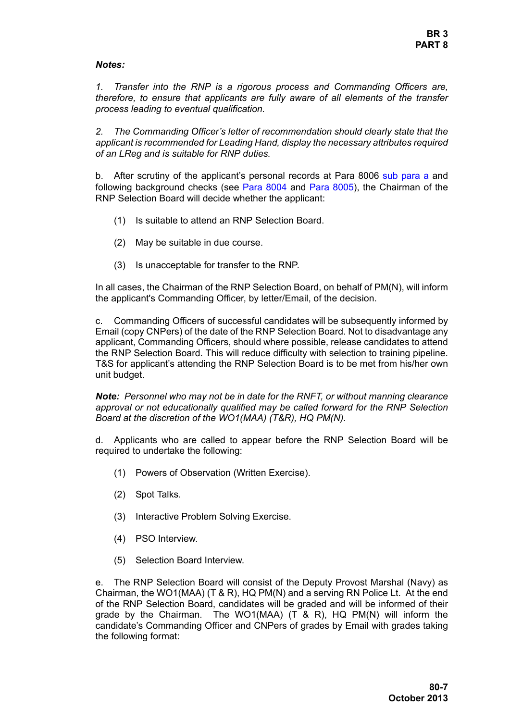## *Notes:*

*1. Transfer into the RNP is a rigorous process and Commanding Officers are, therefore, to ensure that applicants are fully aware of all elements of the transfer process leading to eventual qualification.* 

<span id="page-6-0"></span>*2. The Commanding Officer's letter of recommendation should clearly state that the applicant is recommended for Leading Hand, display the necessary attributes required of an LReg and is suitable for RNP duties.* 

b. After scrutiny of the applicant's personal records at [Para 8006](#page-5-1) [sub para a](#page-5-2) and following background checks (see [Para 8004](#page-3-0) and [Para 8005](#page-5-0)), the Chairman of the RNP Selection Board will decide whether the applicant:

- (1) Is suitable to attend an RNP Selection Board.
- (2) May be suitable in due course.
- (3) Is unacceptable for transfer to the RNP.

In all cases, the Chairman of the RNP Selection Board, on behalf of PM(N), will inform the applicant's Commanding Officer, by letter/Email, of the decision.

c. Commanding Officers of successful candidates will be subsequently informed by Email (copy CNPers) of the date of the RNP Selection Board. Not to disadvantage any applicant, Commanding Officers, should where possible, release candidates to attend the RNP Selection Board. This will reduce difficulty with selection to training pipeline. T&S for applicant's attending the RNP Selection Board is to be met from his/her own unit budget.

*Note: Personnel who may not be in date for the RNFT, or without manning clearance approval or not educationally qualified may be called forward for the RNP Selection Board at the discretion of the WO1(MAA) (T&R), HQ PM(N).*

d. Applicants who are called to appear before the RNP Selection Board will be required to undertake the following:

- (1) Powers of Observation (Written Exercise).
- (2) Spot Talks.
- (3) Interactive Problem Solving Exercise.
- (4) PSO Interview.
- (5) Selection Board Interview.

e. The RNP Selection Board will consist of the Deputy Provost Marshal (Navy) as Chairman, the WO1(MAA) (T & R), HQ PM(N) and a serving RN Police Lt. At the end of the RNP Selection Board, candidates will be graded and will be informed of their grade by the Chairman. The WO1(MAA) (T & R), HQ PM(N) will inform the candidate's Commanding Officer and CNPers of grades by Email with grades taking the following format: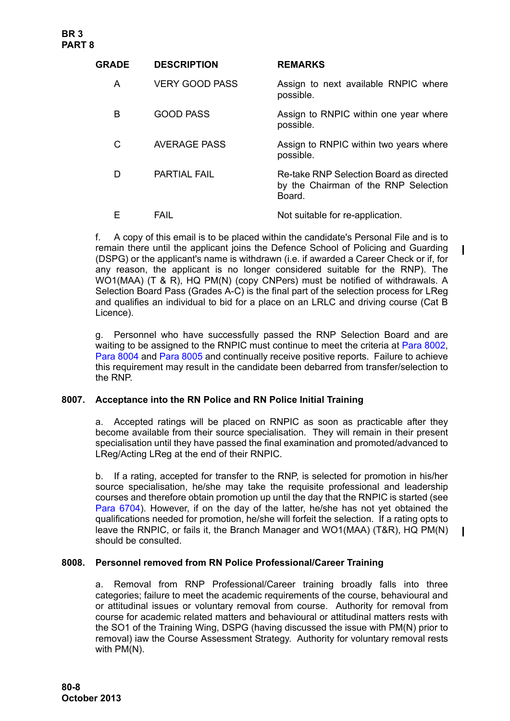| <b>GRADE</b> | <b>DESCRIPTION</b>    | <b>REMARKS</b>                                                                            |
|--------------|-----------------------|-------------------------------------------------------------------------------------------|
| A            | <b>VERY GOOD PASS</b> | Assign to next available RNPIC where<br>possible.                                         |
| B            | <b>GOOD PASS</b>      | Assign to RNPIC within one year where<br>possible.                                        |
| C            | <b>AVERAGE PASS</b>   | Assign to RNPIC within two years where<br>possible.                                       |
| D            | <b>PARTIAL FAIL</b>   | Re-take RNP Selection Board as directed<br>by the Chairman of the RNP Selection<br>Board. |
|              | FAIL                  | Not suitable for re-application.                                                          |

f. A copy of this email is to be placed within the candidate's Personal File and is to remain there until the applicant joins the Defence School of Policing and Guarding (DSPG) or the applicant's name is withdrawn (i.e. if awarded a Career Check or if, for any reason, the applicant is no longer considered suitable for the RNP). The WO1(MAA) (T & R), HQ PM(N) (copy CNPers) must be notified of withdrawals. A Selection Board Pass (Grades A-C) is the final part of the selection process for LReg and qualifies an individual to bid for a place on an LRLC and driving course (Cat B Licence).

g. Personnel who have successfully passed the RNP Selection Board and are waiting to be assigned to the RNPIC must continue to meet the criteria at [Para 8002](#page-1-1), [Para 8004](#page-3-0) and [Para 8005](#page-5-0) and continually receive positive reports. Failure to achieve this requirement may result in the candidate been debarred from transfer/selection to the RNP.

# <span id="page-7-0"></span>**8007. Acceptance into the RN Police and RN Police Initial Training**

a. Accepted ratings will be placed on RNPIC as soon as practicable after they become available from their source specialisation. They will remain in their present specialisation until they have passed the final examination and promoted/advanced to LReg/Acting LReg at the end of their RNPIC.

b. If a rating, accepted for transfer to the RNP, is selected for promotion in his/her source specialisation, he/she may take the requisite professional and leadership courses and therefore obtain promotion up until the day that the RNPIC is started (see Para 6704). However, if on the day of the latter, he/she has not yet obtained the qualifications needed for promotion, he/she will forfeit the selection. If a rating opts to leave the RNPIC, or fails it, the Branch Manager and WO1(MAA) (T&R), HQ PM(N) should be consulted.

## <span id="page-7-1"></span>**8008. Personnel removed from RN Police Professional/Career Training**

a. Removal from RNP Professional/Career training broadly falls into three categories; failure to meet the academic requirements of the course, behavioural and or attitudinal issues or voluntary removal from course. Authority for removal from course for academic related matters and behavioural or attitudinal matters rests with the SO1 of the Training Wing, DSPG (having discussed the issue with PM(N) prior to removal) iaw the Course Assessment Strategy. Authority for voluntary removal rests with PM(N).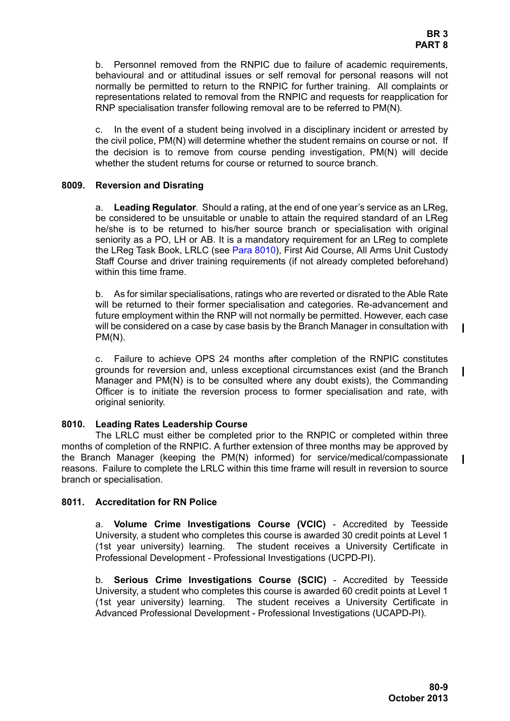b. Personnel removed from the RNPIC due to failure of academic requirements, behavioural and or attitudinal issues or self removal for personal reasons will not normally be permitted to return to the RNPIC for further training. All complaints or representations related to removal from the RNPIC and requests for reapplication for RNP specialisation transfer following removal are to be referred to PM(N).

c. In the event of a student being involved in a disciplinary incident or arrested by the civil police, PM(N) will determine whether the student remains on course or not. If the decision is to remove from course pending investigation, PM(N) will decide whether the student returns for course or returned to source branch.

#### <span id="page-8-0"></span>**8009. Reversion and Disrating**

a. **Leading Regulator**. Should a rating, at the end of one year's service as an LReg, be considered to be unsuitable or unable to attain the required standard of an LReg he/she is to be returned to his/her source branch or specialisation with original seniority as a PO, LH or AB. It is a mandatory requirement for an LReg to complete the LReg Task Book, LRLC (see [Para 8010](#page-8-1)), First Aid Course, All Arms Unit Custody Staff Course and driver training requirements (if not already completed beforehand) within this time frame.

b. As for similar specialisations, ratings who are reverted or disrated to the Able Rate will be returned to their former specialisation and categories. Re-advancement and future employment within the RNP will not normally be permitted. However, each case will be considered on a case by case basis by the Branch Manager in consultation with PM(N).

c. Failure to achieve OPS 24 months after completion of the RNPIC constitutes grounds for reversion and, unless exceptional circumstances exist (and the Branch Manager and PM(N) is to be consulted where any doubt exists), the Commanding Officer is to initiate the reversion process to former specialisation and rate, with original seniority.

## <span id="page-8-1"></span>**8010. Leading Rates Leadership Course**

The LRLC must either be completed prior to the RNPIC or completed within three months of completion of the RNPIC. A further extension of three months may be approved by the Branch Manager (keeping the PM(N) informed) for service/medical/compassionate reasons. Failure to complete the LRLC within this time frame will result in reversion to source branch or specialisation.

## <span id="page-8-2"></span>**8011. Accreditation for RN Police**

a. **Volume Crime Investigations Course (VCIC)** - Accredited by Teesside University, a student who completes this course is awarded 30 credit points at Level 1 (1st year university) learning. The student receives a University Certificate in Professional Development - Professional Investigations (UCPD-PI).

b. **Serious Crime Investigations Course (SCIC)** - Accredited by Teesside University, a student who completes this course is awarded 60 credit points at Level 1 (1st year university) learning. The student receives a University Certificate in Advanced Professional Development - Professional Investigations (UCAPD-PI).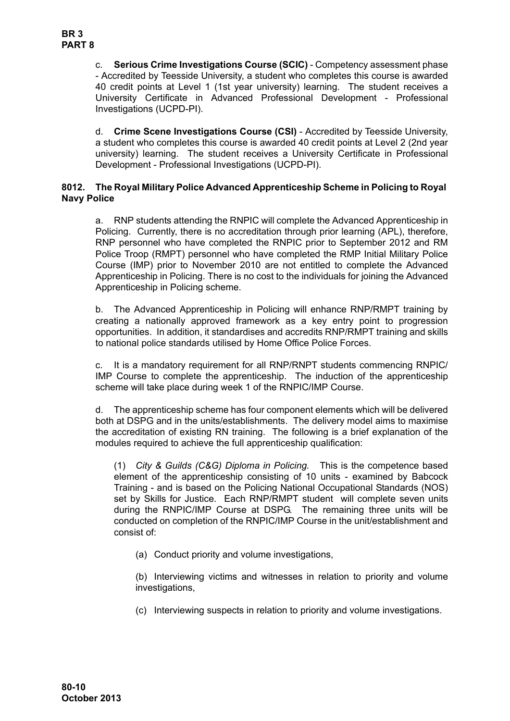c. **Serious Crime Investigations Course (SCIC)** - Competency assessment phase - Accredited by Teesside University, a student who completes this course is awarded 40 credit points at Level 1 (1st year university) learning. The student receives a University Certificate in Advanced Professional Development - Professional Investigations (UCPD-PI).

d. **Crime Scene Investigations Course (CSI)** - Accredited by Teesside University, a student who completes this course is awarded 40 credit points at Level 2 (2nd year university) learning. The student receives a University Certificate in Professional Development - Professional Investigations (UCPD-PI).

# <span id="page-9-0"></span>**8012. The Royal Military Police Advanced Apprenticeship Scheme in Policing to Royal Navy Police**

a. RNP students attending the RNPIC will complete the Advanced Apprenticeship in Policing. Currently, there is no accreditation through prior learning (APL), therefore, RNP personnel who have completed the RNPIC prior to September 2012 and RM Police Troop (RMPT) personnel who have completed the RMP Initial Military Police Course (IMP) prior to November 2010 are not entitled to complete the Advanced Apprenticeship in Policing. There is no cost to the individuals for joining the Advanced Apprenticeship in Policing scheme.

b. The Advanced Apprenticeship in Policing will enhance RNP/RMPT training by creating a nationally approved framework as a key entry point to progression opportunities. In addition, it standardises and accredits RNP/RMPT training and skills to national police standards utilised by Home Office Police Forces.

c. It is a mandatory requirement for all RNP/RNPT students commencing RNPIC/ IMP Course to complete the apprenticeship. The induction of the apprenticeship scheme will take place during week 1 of the RNPIC/IMP Course.

d. The apprenticeship scheme has four component elements which will be delivered both at DSPG and in the units/establishments. The delivery model aims to maximise the accreditation of existing RN training. The following is a brief explanation of the modules required to achieve the full apprenticeship qualification:

(1) *City & Guilds (C&G) Diploma in Policing.* This is the competence based element of the apprenticeship consisting of 10 units - examined by Babcock Training - and is based on the Policing National Occupational Standards (NOS) set by Skills for Justice. Each RNP/RMPT student will complete seven units during the RNPIC/IMP Course at DSPG. The remaining three units will be conducted on completion of the RNPIC/IMP Course in the unit/establishment and consist of:

(a) Conduct priority and volume investigations,

(b) Interviewing victims and witnesses in relation to priority and volume investigations,

(c) Interviewing suspects in relation to priority and volume investigations.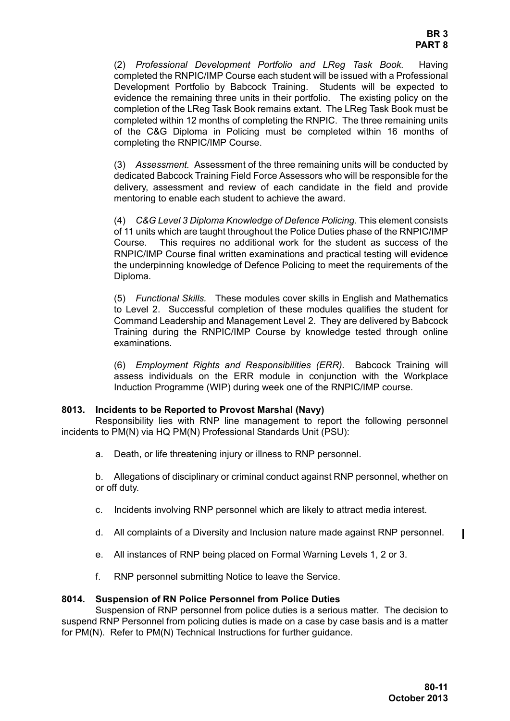(2) *Professional Development Portfolio and LReg Task Book.* Having completed the RNPIC/IMP Course each student will be issued with a Professional Development Portfolio by Babcock Training. Students will be expected to evidence the remaining three units in their portfolio. The existing policy on the completion of the LReg Task Book remains extant. The LReg Task Book must be completed within 12 months of completing the RNPIC. The three remaining units of the C&G Diploma in Policing must be completed within 16 months of completing the RNPIC/IMP Course.

(3) *Assessment.* Assessment of the three remaining units will be conducted by dedicated Babcock Training Field Force Assessors who will be responsible for the delivery, assessment and review of each candidate in the field and provide mentoring to enable each student to achieve the award.

(4) *C&G Level 3 Diploma Knowledge of Defence Policing.* This element consists of 11 units which are taught throughout the Police Duties phase of the RNPIC/IMP Course. This requires no additional work for the student as success of the RNPIC/IMP Course final written examinations and practical testing will evidence the underpinning knowledge of Defence Policing to meet the requirements of the Diploma.

(5) *Functional Skills.* These modules cover skills in English and Mathematics to Level 2. Successful completion of these modules qualifies the student for Command Leadership and Management Level 2. They are delivered by Babcock Training during the RNPIC/IMP Course by knowledge tested through online examinations.

(6) *Employment Rights and Responsibilities (ERR).* Babcock Training will assess individuals on the ERR module in conjunction with the Workplace Induction Programme (WIP) during week one of the RNPIC/IMP course.

## <span id="page-10-0"></span>**8013. Incidents to be Reported to Provost Marshal (Navy)**

Responsibility lies with RNP line management to report the following personnel incidents to PM(N) via HQ PM(N) Professional Standards Unit (PSU):

a. Death, or life threatening injury or illness to RNP personnel.

b. Allegations of disciplinary or criminal conduct against RNP personnel, whether on or off duty.

- c. Incidents involving RNP personnel which are likely to attract media interest.
- d. All complaints of a Diversity and Inclusion nature made against RNP personnel.
- e. All instances of RNP being placed on Formal Warning Levels 1, 2 or 3.
- f. RNP personnel submitting Notice to leave the Service.

#### <span id="page-10-1"></span>**8014. Suspension of RN Police Personnel from Police Duties**

Suspension of RNP personnel from police duties is a serious matter. The decision to suspend RNP Personnel from policing duties is made on a case by case basis and is a matter for PM(N). Refer to PM(N) Technical Instructions for further guidance.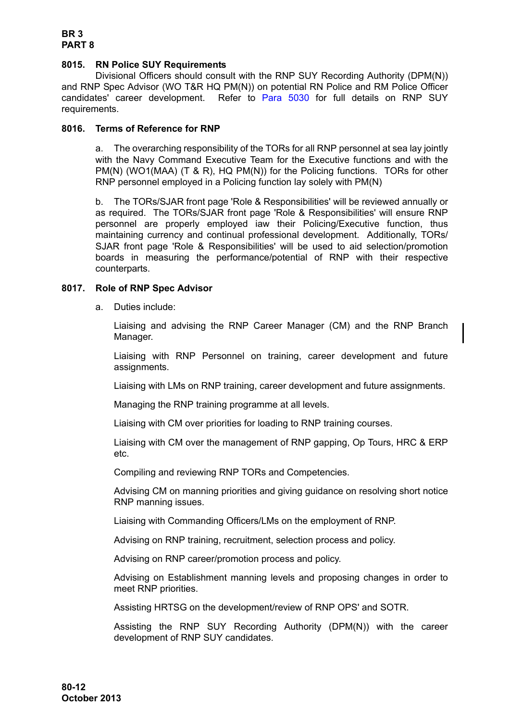# <span id="page-11-0"></span>**8015. RN Police SUY Requirements**

Divisional Officers should consult with the RNP SUY Recording Authority (DPM(N)) and RNP Spec Advisor (WO T&R HQ PM(N)) on potential RN Police and RM Police Officer candidates' career development. Refer to Para 5030 for full details on RNP SUY requirements.

## <span id="page-11-1"></span>**8016. Terms of Reference for RNP**

a. The overarching responsibility of the TORs for all RNP personnel at sea lay jointly with the Navy Command Executive Team for the Executive functions and with the PM(N) (WO1(MAA) (T & R), HQ PM(N)) for the Policing functions. TORs for other RNP personnel employed in a Policing function lay solely with PM(N)

b. The TORs/SJAR front page 'Role & Responsibilities' will be reviewed annually or as required. The TORs/SJAR front page 'Role & Responsibilities' will ensure RNP personnel are properly employed iaw their Policing/Executive function, thus maintaining currency and continual professional development. Additionally, TORs/ SJAR front page 'Role & Responsibilities' will be used to aid selection/promotion boards in measuring the performance/potential of RNP with their respective counterparts.

# <span id="page-11-2"></span>**8017. Role of RNP Spec Advisor**

a. Duties include:

Liaising and advising the RNP Career Manager (CM) and the RNP Branch Manager.

Liaising with RNP Personnel on training, career development and future assignments.

Liaising with LMs on RNP training, career development and future assignments.

Managing the RNP training programme at all levels.

Liaising with CM over priorities for loading to RNP training courses.

Liaising with CM over the management of RNP gapping, Op Tours, HRC & ERP etc.

Compiling and reviewing RNP TORs and Competencies.

Advising CM on manning priorities and giving guidance on resolving short notice RNP manning issues.

Liaising with Commanding Officers/LMs on the employment of RNP.

Advising on RNP training, recruitment, selection process and policy.

Advising on RNP career/promotion process and policy.

Advising on Establishment manning levels and proposing changes in order to meet RNP priorities.

Assisting HRTSG on the development/review of RNP OPS' and SOTR.

Assisting the RNP SUY Recording Authority (DPM(N)) with the career development of RNP SUY candidates.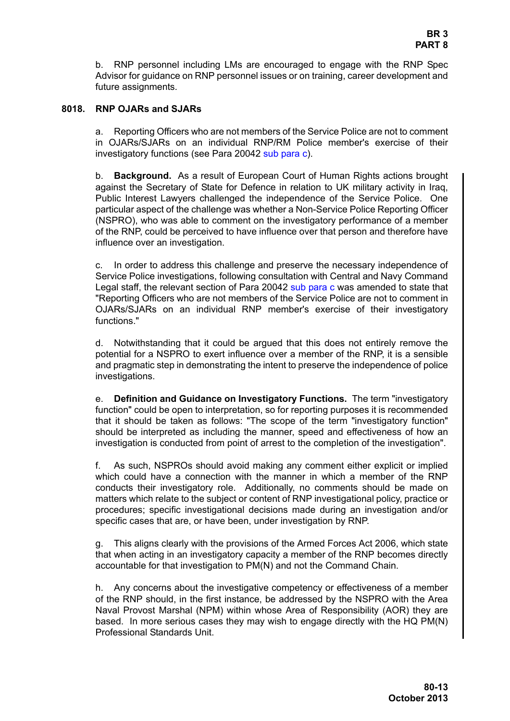b. RNP personnel including LMs are encouraged to engage with the RNP Spec Advisor for guidance on RNP personnel issues or on training, career development and future assignments.

#### <span id="page-12-0"></span>**8018. RNP OJARs and SJARs**

a. Reporting Officers who are not members of the Service Police are not to comment in OJARs/SJARs on an individual RNP/RM Police member's exercise of their investigatory functions (see Para 20042 sub para c).

b. **Background.** As a result of European Court of Human Rights actions brought against the Secretary of State for Defence in relation to UK military activity in Iraq, Public Interest Lawyers challenged the independence of the Service Police. One particular aspect of the challenge was whether a Non-Service Police Reporting Officer (NSPRO), who was able to comment on the investigatory performance of a member of the RNP, could be perceived to have influence over that person and therefore have influence over an investigation.

c. In order to address this challenge and preserve the necessary independence of Service Police investigations, following consultation with Central and Navy Command Legal staff, the relevant section of Para 20042 sub para c was amended to state that "Reporting Officers who are not members of the Service Police are not to comment in OJARs/SJARs on an individual RNP member's exercise of their investigatory functions."

d. Notwithstanding that it could be argued that this does not entirely remove the potential for a NSPRO to exert influence over a member of the RNP, it is a sensible and pragmatic step in demonstrating the intent to preserve the independence of police investigations.

e. **Definition and Guidance on Investigatory Functions.** The term "investigatory function" could be open to interpretation, so for reporting purposes it is recommended that it should be taken as follows: "The scope of the term "investigatory function" should be interpreted as including the manner, speed and effectiveness of how an investigation is conducted from point of arrest to the completion of the investigation".

f. As such, NSPROs should avoid making any comment either explicit or implied which could have a connection with the manner in which a member of the RNP conducts their investigatory role. Additionally, no comments should be made on matters which relate to the subject or content of RNP investigational policy, practice or procedures; specific investigational decisions made during an investigation and/or specific cases that are, or have been, under investigation by RNP.

g. This aligns clearly with the provisions of the Armed Forces Act 2006, which state that when acting in an investigatory capacity a member of the RNP becomes directly accountable for that investigation to PM(N) and not the Command Chain.

h. Any concerns about the investigative competency or effectiveness of a member of the RNP should, in the first instance, be addressed by the NSPRO with the Area Naval Provost Marshal (NPM) within whose Area of Responsibility (AOR) they are based. In more serious cases they may wish to engage directly with the HQ PM(N) Professional Standards Unit.